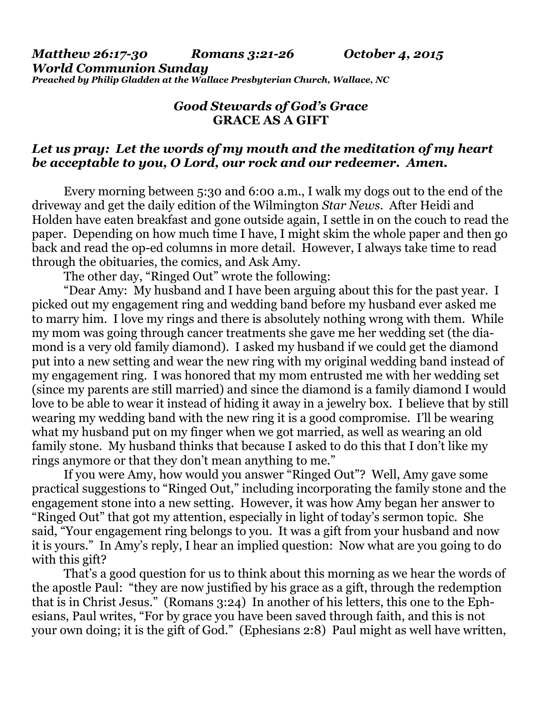*Matthew 26:17-30 Romans 3:21-26 October 4, 2015 World Communion Sunday Preached by Philip Gladden at the Wallace Presbyterian Church, Wallace, NC* 

## *Good Stewards of God's Grace*  **GRACE AS A GIFT**

## *Let us pray: Let the words of my mouth and the meditation of my heart be acceptable to you, O Lord, our rock and our redeemer. Amen.*

Every morning between 5:30 and 6:00 a.m., I walk my dogs out to the end of the driveway and get the daily edition of the Wilmington *Star News*. After Heidi and Holden have eaten breakfast and gone outside again, I settle in on the couch to read the paper. Depending on how much time I have, I might skim the whole paper and then go back and read the op-ed columns in more detail. However, I always take time to read through the obituaries, the comics, and Ask Amy.

The other day, "Ringed Out" wrote the following:

 "Dear Amy: My husband and I have been arguing about this for the past year. I picked out my engagement ring and wedding band before my husband ever asked me to marry him. I love my rings and there is absolutely nothing wrong with them. While my mom was going through cancer treatments she gave me her wedding set (the diamond is a very old family diamond). I asked my husband if we could get the diamond put into a new setting and wear the new ring with my original wedding band instead of my engagement ring. I was honored that my mom entrusted me with her wedding set (since my parents are still married) and since the diamond is a family diamond I would love to be able to wear it instead of hiding it away in a jewelry box. I believe that by still wearing my wedding band with the new ring it is a good compromise. I'll be wearing what my husband put on my finger when we got married, as well as wearing an old family stone. My husband thinks that because I asked to do this that I don't like my rings anymore or that they don't mean anything to me."

 If you were Amy, how would you answer "Ringed Out"? Well, Amy gave some practical suggestions to "Ringed Out," including incorporating the family stone and the engagement stone into a new setting. However, it was how Amy began her answer to "Ringed Out" that got my attention, especially in light of today's sermon topic. She said, "Your engagement ring belongs to you. It was a gift from your husband and now it is yours." In Amy's reply, I hear an implied question: Now what are you going to do with this gift?

 That's a good question for us to think about this morning as we hear the words of the apostle Paul: "they are now justified by his grace as a gift, through the redemption that is in Christ Jesus." (Romans 3:24) In another of his letters, this one to the Ephesians, Paul writes, "For by grace you have been saved through faith, and this is not your own doing; it is the gift of God." (Ephesians 2:8) Paul might as well have written,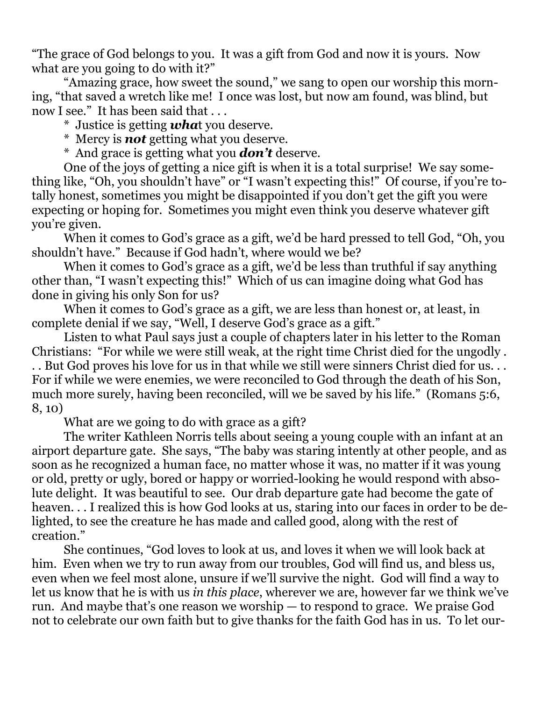"The grace of God belongs to you. It was a gift from God and now it is yours. Now what are you going to do with it?"

 "Amazing grace, how sweet the sound," we sang to open our worship this morning, "that saved a wretch like me! I once was lost, but now am found, was blind, but now I see." It has been said that . . .

- \* Justice is getting *wha*t you deserve.
- \* Mercy is *not* getting what you deserve.
- \* And grace is getting what you *don't* deserve.

 One of the joys of getting a nice gift is when it is a total surprise! We say something like, "Oh, you shouldn't have" or "I wasn't expecting this!" Of course, if you're totally honest, sometimes you might be disappointed if you don't get the gift you were expecting or hoping for. Sometimes you might even think you deserve whatever gift you're given.

 When it comes to God's grace as a gift, we'd be hard pressed to tell God, "Oh, you shouldn't have." Because if God hadn't, where would we be?

 When it comes to God's grace as a gift, we'd be less than truthful if say anything other than, "I wasn't expecting this!" Which of us can imagine doing what God has done in giving his only Son for us?

 When it comes to God's grace as a gift, we are less than honest or, at least, in complete denial if we say, "Well, I deserve God's grace as a gift."

 Listen to what Paul says just a couple of chapters later in his letter to the Roman Christians: "For while we were still weak, at the right time Christ died for the ungodly . . . But God proves his love for us in that while we still were sinners Christ died for us. . . For if while we were enemies, we were reconciled to God through the death of his Son, much more surely, having been reconciled, will we be saved by his life." (Romans 5:6, 8, 10)

What are we going to do with grace as a gift?

 The writer Kathleen Norris tells about seeing a young couple with an infant at an airport departure gate. She says, "The baby was staring intently at other people, and as soon as he recognized a human face, no matter whose it was, no matter if it was young or old, pretty or ugly, bored or happy or worried-looking he would respond with absolute delight. It was beautiful to see. Our drab departure gate had become the gate of heaven... I realized this is how God looks at us, staring into our faces in order to be delighted, to see the creature he has made and called good, along with the rest of creation."

 She continues, "God loves to look at us, and loves it when we will look back at him. Even when we try to run away from our troubles, God will find us, and bless us, even when we feel most alone, unsure if we'll survive the night. God will find a way to let us know that he is with us *in this place*, wherever we are, however far we think we've run. And maybe that's one reason we worship — to respond to grace. We praise God not to celebrate our own faith but to give thanks for the faith God has in us. To let our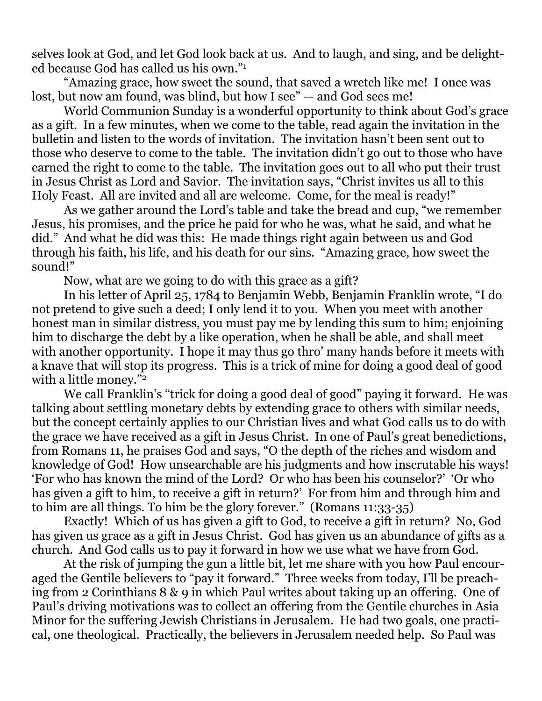selves look at God, and let God look back at us. And to laugh, and sing, and be delighted because God has called us his own."1

 "Amazing grace, how sweet the sound, that saved a wretch like me! I once was lost, but now am found, was blind, but how I see" — and God sees me!

 World Communion Sunday is a wonderful opportunity to think about God's grace as a gift. In a few minutes, when we come to the table, read again the invitation in the bulletin and listen to the words of invitation. The invitation hasn't been sent out to those who deserve to come to the table. The invitation didn't go out to those who have earned the right to come to the table. The invitation goes out to all who put their trust in Jesus Christ as Lord and Savior. The invitation says, "Christ invites us all to this Holy Feast. All are invited and all are welcome. Come, for the meal is ready!"

 As we gather around the Lord's table and take the bread and cup, "we remember Jesus, his promises, and the price he paid for who he was, what he said, and what he did." And what he did was this: He made things right again between us and God through his faith, his life, and his death for our sins. "Amazing grace, how sweet the sound!"

Now, what are we going to do with this grace as a gift?

 In his letter of April 25, 1784 to Benjamin Webb, Benjamin Franklin wrote, "I do not pretend to give such a deed; I only lend it to you. When you meet with another honest man in similar distress, you must pay me by lending this sum to him; enjoining him to discharge the debt by a like operation, when he shall be able, and shall meet with another opportunity. I hope it may thus go thro' many hands before it meets with a knave that will stop its progress. This is a trick of mine for doing a good deal of good with a little money."<sup>2</sup>

 We call Franklin's "trick for doing a good deal of good" paying it forward. He was talking about settling monetary debts by extending grace to others with similar needs, but the concept certainly applies to our Christian lives and what God calls us to do with the grace we have received as a gift in Jesus Christ. In one of Paul's great benedictions, from Romans 11, he praises God and says, "O the depth of the riches and wisdom and knowledge of God! How unsearchable are his judgments and how inscrutable his ways! 'For who has known the mind of the Lord? Or who has been his counselor?' 'Or who has given a gift to him, to receive a gift in return?' For from him and through him and to him are all things. To him be the glory forever." (Romans 11:33-35)

 Exactly! Which of us has given a gift to God, to receive a gift in return? No, God has given us grace as a gift in Jesus Christ. God has given us an abundance of gifts as a church. And God calls us to pay it forward in how we use what we have from God.

 At the risk of jumping the gun a little bit, let me share with you how Paul encouraged the Gentile believers to "pay it forward." Three weeks from today, I'll be preaching from 2 Corinthians 8 & 9 in which Paul writes about taking up an offering. One of Paul's driving motivations was to collect an offering from the Gentile churches in Asia Minor for the suffering Jewish Christians in Jerusalem. He had two goals, one practical, one theological. Practically, the believers in Jerusalem needed help. So Paul was